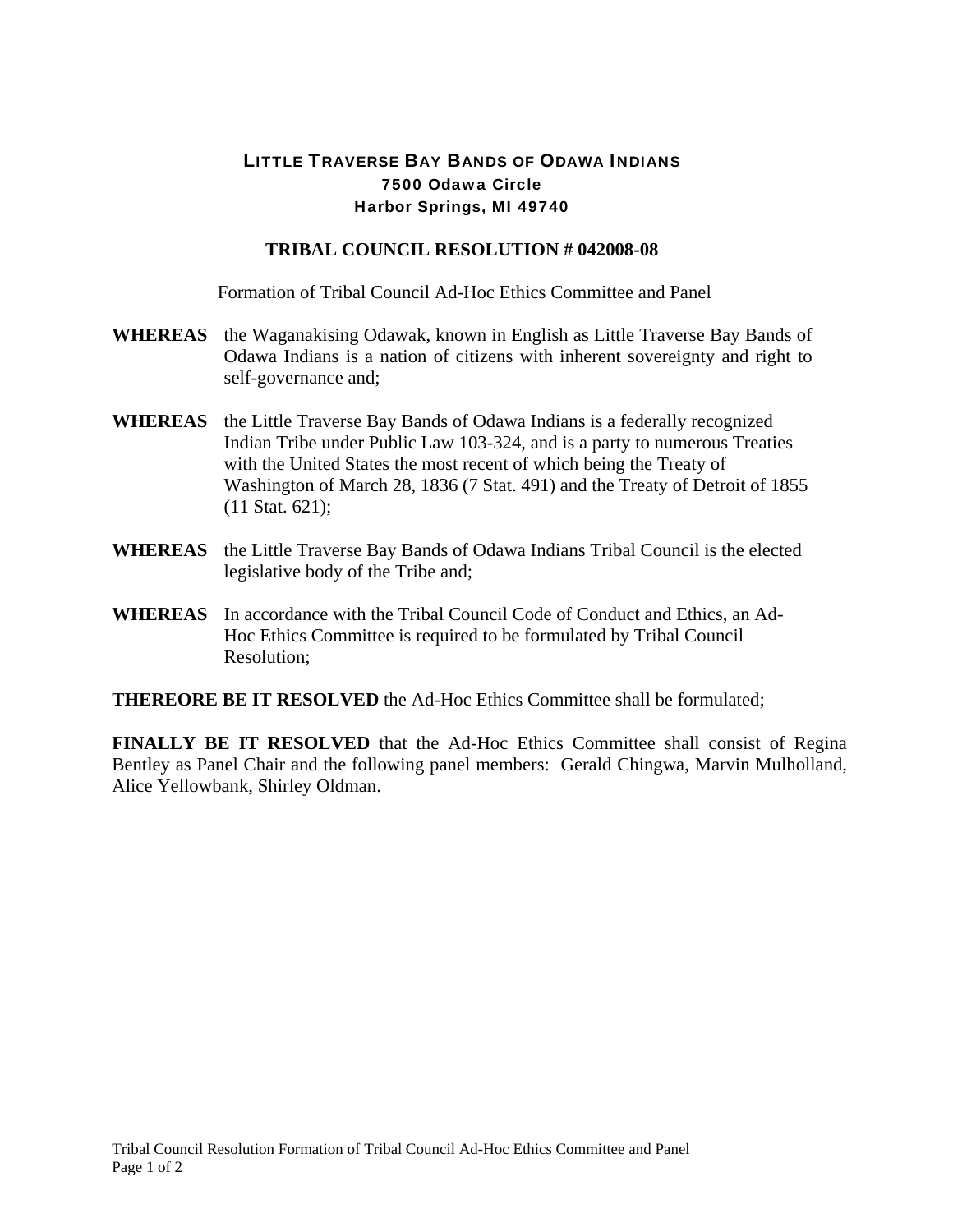## LITTLE TRAVERSE BAY BANDS OF ODAWA INDIANS 7500 Odawa Circle Harbor Springs, MI 49740

## **TRIBAL COUNCIL RESOLUTION # 042008-08**

Formation of Tribal Council Ad-Hoc Ethics Committee and Panel

- **WHEREAS** the Waganakising Odawak, known in English as Little Traverse Bay Bands of Odawa Indians is a nation of citizens with inherent sovereignty and right to self-governance and;
- **WHEREAS** the Little Traverse Bay Bands of Odawa Indians is a federally recognized Indian Tribe under Public Law 103-324, and is a party to numerous Treaties with the United States the most recent of which being the Treaty of Washington of March 28, 1836 (7 Stat. 491) and the Treaty of Detroit of 1855 (11 Stat. 621);
- **WHEREAS** the Little Traverse Bay Bands of Odawa Indians Tribal Council is the elected legislative body of the Tribe and;
- **WHEREAS** In accordance with the Tribal Council Code of Conduct and Ethics, an Ad-Hoc Ethics Committee is required to be formulated by Tribal Council Resolution;

**THEREORE BE IT RESOLVED** the Ad-Hoc Ethics Committee shall be formulated;

**FINALLY BE IT RESOLVED** that the Ad-Hoc Ethics Committee shall consist of Regina Bentley as Panel Chair and the following panel members: Gerald Chingwa, Marvin Mulholland, Alice Yellowbank, Shirley Oldman.